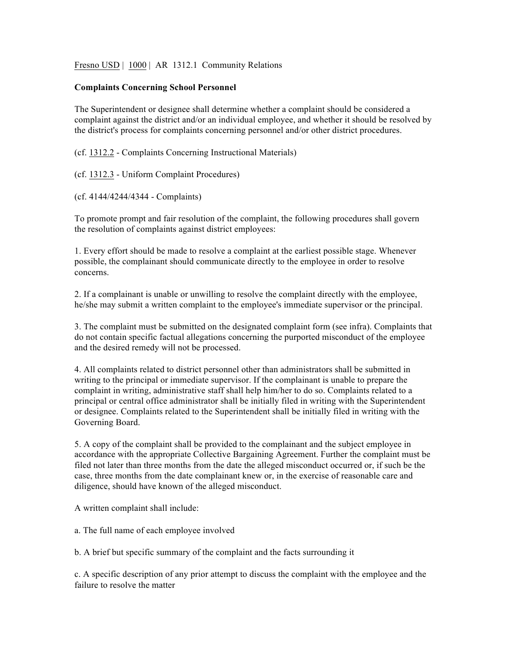Fresno USD | 1000 | AR 1312.1 Community Relations

## **Complaints Concerning School Personnel**

The Superintendent or designee shall determine whether a complaint should be considered a complaint against the district and/or an individual employee, and whether it should be resolved by the district's process for complaints concerning personnel and/or other district procedures.

(cf. 1312.2 - Complaints Concerning Instructional Materials)

(cf. 1312.3 - Uniform Complaint Procedures)

(cf. 4144/4244/4344 - Complaints)

To promote prompt and fair resolution of the complaint, the following procedures shall govern the resolution of complaints against district employees:

1. Every effort should be made to resolve a complaint at the earliest possible stage. Whenever possible, the complainant should communicate directly to the employee in order to resolve concerns.

2. If a complainant is unable or unwilling to resolve the complaint directly with the employee, he/she may submit a written complaint to the employee's immediate supervisor or the principal.

3. The complaint must be submitted on the designated complaint form (see infra). Complaints that do not contain specific factual allegations concerning the purported misconduct of the employee and the desired remedy will not be processed.

4. All complaints related to district personnel other than administrators shall be submitted in writing to the principal or immediate supervisor. If the complainant is unable to prepare the complaint in writing, administrative staff shall help him/her to do so. Complaints related to a principal or central office administrator shall be initially filed in writing with the Superintendent or designee. Complaints related to the Superintendent shall be initially filed in writing with the Governing Board.

5. A copy of the complaint shall be provided to the complainant and the subject employee in accordance with the appropriate Collective Bargaining Agreement. Further the complaint must be filed not later than three months from the date the alleged misconduct occurred or, if such be the case, three months from the date complainant knew or, in the exercise of reasonable care and diligence, should have known of the alleged misconduct.

A written complaint shall include:

a. The full name of each employee involved

b. A brief but specific summary of the complaint and the facts surrounding it

c. A specific description of any prior attempt to discuss the complaint with the employee and the failure to resolve the matter